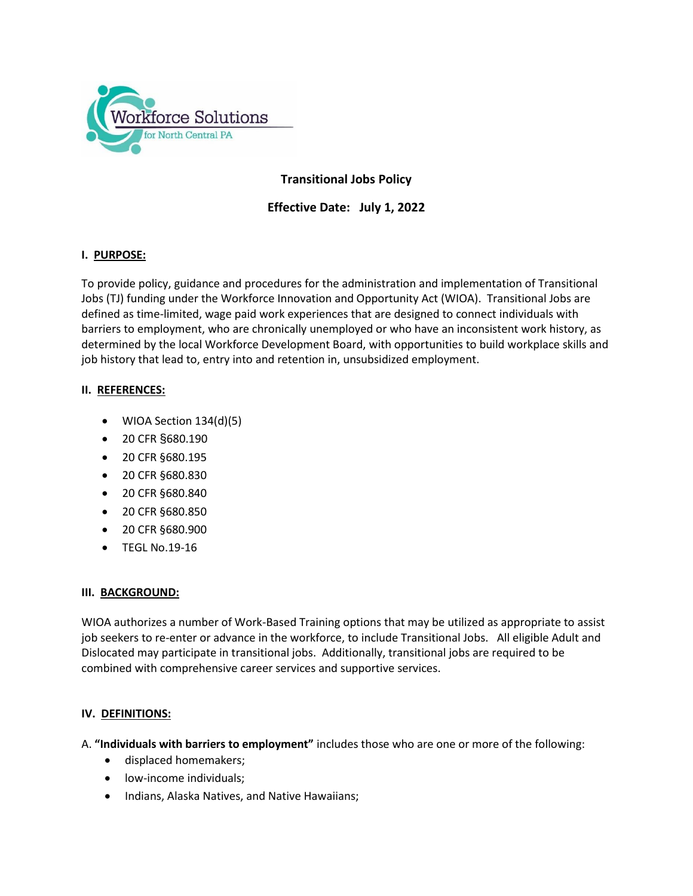

# **Transitional Jobs Policy**

**Effective Date: July 1, 2022**

## **I. PURPOSE:**

To provide policy, guidance and procedures for the administration and implementation of Transitional Jobs (TJ) funding under the Workforce Innovation and Opportunity Act (WIOA). Transitional Jobs are defined as time-limited, wage paid work experiences that are designed to connect individuals with barriers to employment, who are chronically unemployed or who have an inconsistent work history, as determined by the local Workforce Development Board, with opportunities to build workplace skills and job history that lead to, entry into and retention in, unsubsidized employment.

#### **II. REFERENCES:**

- WIOA Section 134(d)(5)
- 20 CFR §680.190
- 20 CFR §680.195
- 20 CFR §680.830
- 20 CFR §680.840
- 20 CFR §680.850
- 20 CFR §680.900
- TEGL No.19-16

#### **III. BACKGROUND:**

WIOA authorizes a number of Work-Based Training options that may be utilized as appropriate to assist job seekers to re-enter or advance in the workforce, to include Transitional Jobs. All eligible Adult and Dislocated may participate in transitional jobs. Additionally, transitional jobs are required to be combined with comprehensive career services and supportive services.

#### **IV. DEFINITIONS:**

- A. **"Individuals with barriers to employment"** includes those who are one or more of the following:
	- displaced homemakers;
	- low-income individuals;
	- Indians, Alaska Natives, and Native Hawaiians;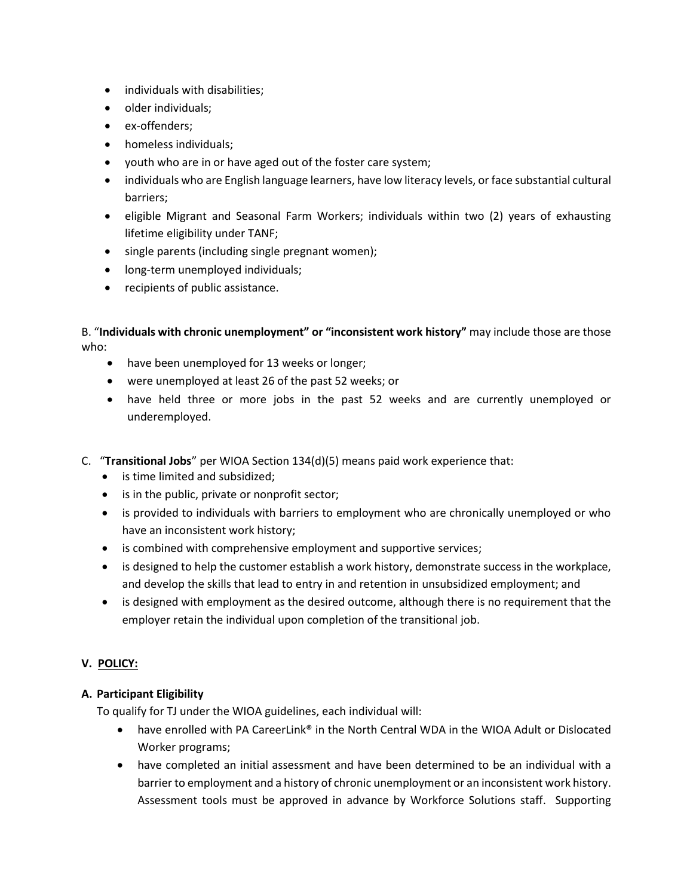- individuals with disabilities;
- older individuals:
- ex-offenders;
- homeless individuals;
- youth who are in or have aged out of the foster care system;
- individuals who are English language learners, have low literacy levels, or face substantial cultural barriers;
- eligible Migrant and Seasonal Farm Workers; individuals within two (2) years of exhausting lifetime eligibility under TANF;
- single parents (including single pregnant women);
- long-term unemployed individuals;
- recipients of public assistance.

B. "**Individuals with chronic unemployment" or "inconsistent work history"** may include those are those who:

- have been unemployed for 13 weeks or longer;
- were unemployed at least 26 of the past 52 weeks; or
- have held three or more jobs in the past 52 weeks and are currently unemployed or underemployed.
- C. "**Transitional Jobs**" per WIOA Section 134(d)(5) means paid work experience that:
	- is time limited and subsidized;
	- is in the public, private or nonprofit sector;
	- is provided to individuals with barriers to employment who are chronically unemployed or who have an inconsistent work history;
	- is combined with comprehensive employment and supportive services;
	- is designed to help the customer establish a work history, demonstrate success in the workplace, and develop the skills that lead to entry in and retention in unsubsidized employment; and
	- is designed with employment as the desired outcome, although there is no requirement that the employer retain the individual upon completion of the transitional job.

## **V. POLICY:**

## **A. Participant Eligibility**

To qualify for TJ under the WIOA guidelines, each individual will:

- have enrolled with PA CareerLink® in the North Central WDA in the WIOA Adult or Dislocated Worker programs;
- have completed an initial assessment and have been determined to be an individual with a barrier to employment and a history of chronic unemployment or an inconsistent work history. Assessment tools must be approved in advance by Workforce Solutions staff. Supporting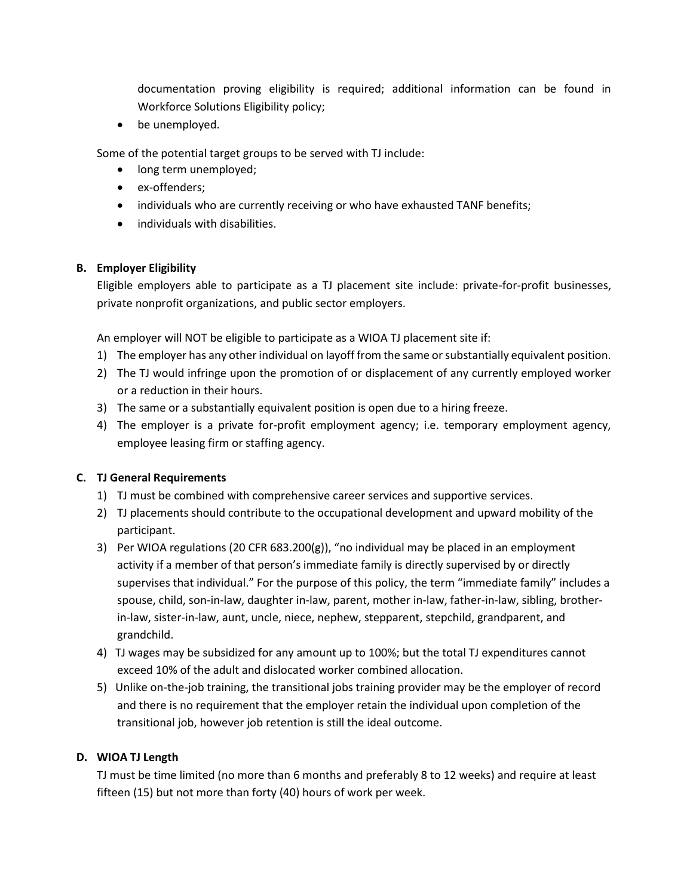documentation proving eligibility is required; additional information can be found in Workforce Solutions Eligibility policy;

• be unemployed.

Some of the potential target groups to be served with TJ include:

- long term unemployed;
- ex-offenders;
- individuals who are currently receiving or who have exhausted TANF benefits;
- individuals with disabilities.

## **B. Employer Eligibility**

Eligible employers able to participate as a TJ placement site include: private-for-profit businesses, private nonprofit organizations, and public sector employers.

An employer will NOT be eligible to participate as a WIOA TJ placement site if:

- 1) The employer has any other individual on layoff from the same or substantially equivalent position.
- 2) The TJ would infringe upon the promotion of or displacement of any currently employed worker or a reduction in their hours.
- 3) The same or a substantially equivalent position is open due to a hiring freeze.
- 4) The employer is a private for-profit employment agency; i.e. temporary employment agency, employee leasing firm or staffing agency.

## **C. TJ General Requirements**

- 1) TJ must be combined with comprehensive career services and supportive services.
- 2) TJ placements should contribute to the occupational development and upward mobility of the participant.
- 3) Per WIOA regulations (20 CFR 683.200(g)), "no individual may be placed in an employment activity if a member of that person's immediate family is directly supervised by or directly supervises that individual." For the purpose of this policy, the term "immediate family" includes a spouse, child, son-in-law, daughter in-law, parent, mother in-law, father-in-law, sibling, brotherin-law, sister-in-law, aunt, uncle, niece, nephew, stepparent, stepchild, grandparent, and grandchild.
- 4) TJ wages may be subsidized for any amount up to 100%; but the total TJ expenditures cannot exceed 10% of the adult and dislocated worker combined allocation.
- 5) Unlike on-the-job training, the transitional jobs training provider may be the employer of record and there is no requirement that the employer retain the individual upon completion of the transitional job, however job retention is still the ideal outcome.

## **D. WIOA TJ Length**

TJ must be time limited (no more than 6 months and preferably 8 to 12 weeks) and require at least fifteen (15) but not more than forty (40) hours of work per week.